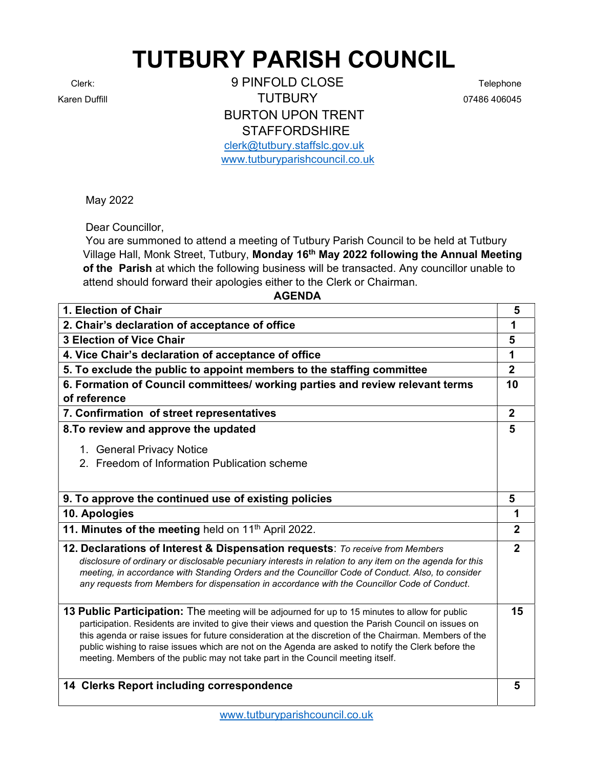## TUTBURY PARISH COUNCIL

Clerk: 9 PINFOLD CLOSE Telephone Karen Duffill **Contract Contract Contract Contract Contract Contract Contract Contract Contract Contract Contract Contract Contract Contract Contract Contract Contract Contract Contract Contract Contract Contract Contract** BURTON UPON TRENT **STAFFORDSHIRE** clerk@tutbury.staffslc.gov.uk

www.tutburyparishcouncil.co.uk

May 2022

Dear Councillor,

 You are summoned to attend a meeting of Tutbury Parish Council to be held at Tutbury Village Hall, Monk Street, Tutbury, Monday 16<sup>th</sup> May 2022 following the Annual Meeting of the Parish at which the following business will be transacted. Any councillor unable to attend should forward their apologies either to the Clerk or Chairman.

## AGENDA

| 1. Election of Chair                                                                                                                                                                                                                                                                                                                                                                                                                                                                                         | 5              |
|--------------------------------------------------------------------------------------------------------------------------------------------------------------------------------------------------------------------------------------------------------------------------------------------------------------------------------------------------------------------------------------------------------------------------------------------------------------------------------------------------------------|----------------|
| 2. Chair's declaration of acceptance of office                                                                                                                                                                                                                                                                                                                                                                                                                                                               | 1              |
| <b>3 Election of Vice Chair</b>                                                                                                                                                                                                                                                                                                                                                                                                                                                                              | 5              |
| 4. Vice Chair's declaration of acceptance of office                                                                                                                                                                                                                                                                                                                                                                                                                                                          | 1              |
| 5. To exclude the public to appoint members to the staffing committee                                                                                                                                                                                                                                                                                                                                                                                                                                        | $\overline{2}$ |
| 6. Formation of Council committees/ working parties and review relevant terms<br>of reference                                                                                                                                                                                                                                                                                                                                                                                                                | 10             |
| 7. Confirmation of street representatives                                                                                                                                                                                                                                                                                                                                                                                                                                                                    | $\overline{2}$ |
| 8. To review and approve the updated                                                                                                                                                                                                                                                                                                                                                                                                                                                                         | 5              |
| 1. General Privacy Notice                                                                                                                                                                                                                                                                                                                                                                                                                                                                                    |                |
| 2. Freedom of Information Publication scheme                                                                                                                                                                                                                                                                                                                                                                                                                                                                 |                |
|                                                                                                                                                                                                                                                                                                                                                                                                                                                                                                              |                |
| 9. To approve the continued use of existing policies                                                                                                                                                                                                                                                                                                                                                                                                                                                         | 5              |
| 10. Apologies                                                                                                                                                                                                                                                                                                                                                                                                                                                                                                | 1              |
| 11. Minutes of the meeting held on 11 <sup>th</sup> April 2022.                                                                                                                                                                                                                                                                                                                                                                                                                                              | $\mathbf{2}$   |
|                                                                                                                                                                                                                                                                                                                                                                                                                                                                                                              |                |
| 12. Declarations of Interest & Dispensation requests: To receive from Members<br>disclosure of ordinary or disclosable pecuniary interests in relation to any item on the agenda for this<br>meeting, in accordance with Standing Orders and the Councillor Code of Conduct. Also, to consider<br>any requests from Members for dispensation in accordance with the Councillor Code of Conduct.                                                                                                              | $\overline{2}$ |
| 13 Public Participation: The meeting will be adjourned for up to 15 minutes to allow for public<br>participation. Residents are invited to give their views and question the Parish Council on issues on<br>this agenda or raise issues for future consideration at the discretion of the Chairman. Members of the<br>public wishing to raise issues which are not on the Agenda are asked to notify the Clerk before the<br>meeting. Members of the public may not take part in the Council meeting itself. | 15             |
| 14 Clerks Report including correspondence                                                                                                                                                                                                                                                                                                                                                                                                                                                                    | 5              |